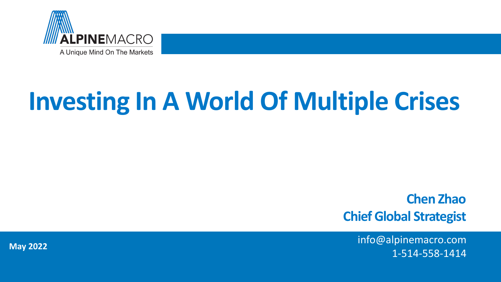

# **Investing In A World Of Multiple Crises**

**Chen Zhao Chief Global Strategist**

> info@alpinemacro.com 1-514-558-1414

 $M_{\odot}$ **May 2022**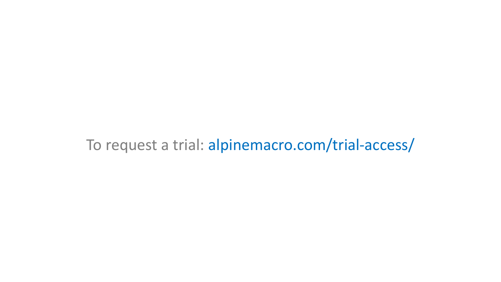## To request a trial: alpinemacro.com/trial-access/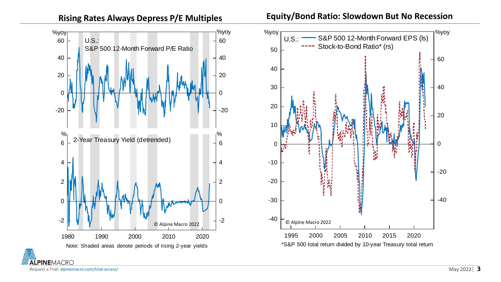





Request a Trial: alpinemacro.com/trial-access/

**ALPINEMACRO**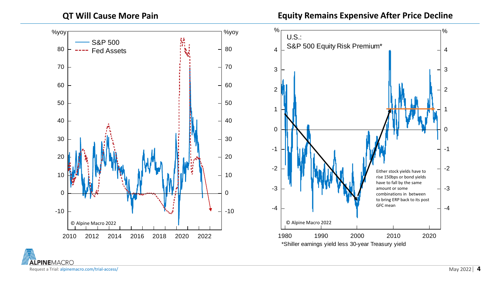**QT Will Cause More Pain**

**Equity Remains Expensive After Price Decline**



**ALPINEMACRO** Request a Trial: alpinemacro.com/trial-access/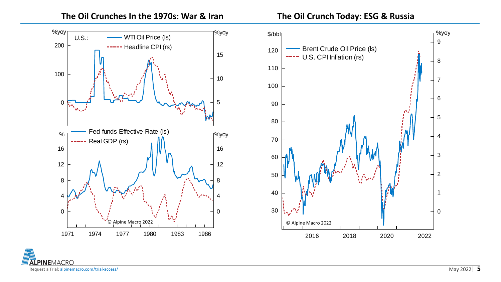![](_page_4_Figure_2.jpeg)

![](_page_4_Figure_3.jpeg)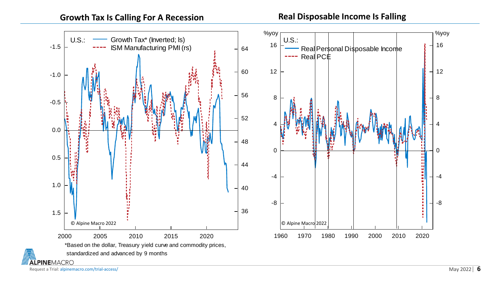![](_page_5_Figure_2.jpeg)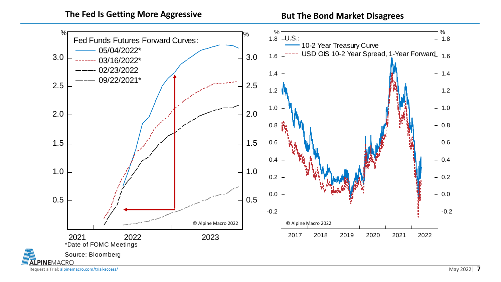**The Fed Is Getting More Aggressive**

**But The Bond Market Disagrees** 

![](_page_6_Figure_2.jpeg)

Request a Trial: alpinemacro.com/trial-access/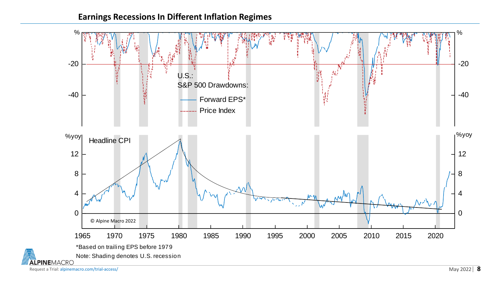## **Earnings Recessions In Different Inflation Regimes**

![](_page_7_Figure_1.jpeg)

Request a Trial: alpinemacro.com/trial-access/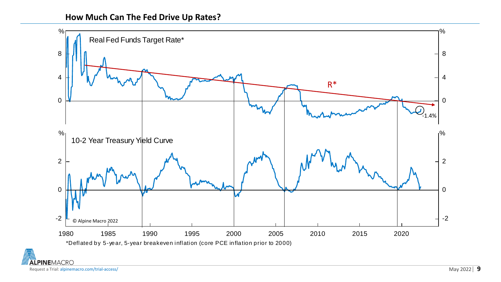![](_page_8_Figure_1.jpeg)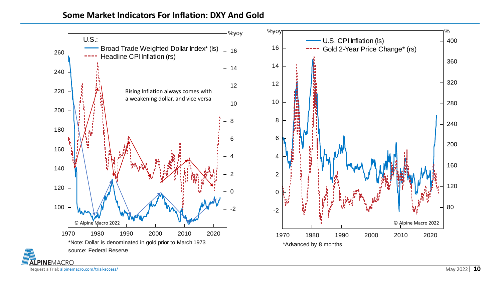## **Some Market Indicators For Inflation: DXY And Gold**

![](_page_9_Figure_1.jpeg)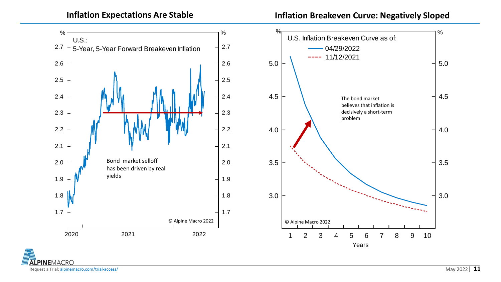**Inflation Expectations Are Stable** 

**Inflation Breakeven Curve: Negatively Sloped** 

![](_page_10_Figure_2.jpeg)

**ALPINEMACRO** Request a Trial: alpinemacro.com/trial-access/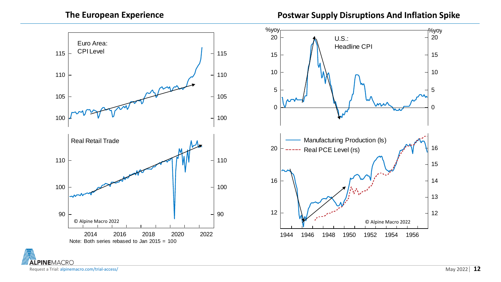**The European Experience Postwar Supply Disruptions And Inflation Spike** 

![](_page_11_Figure_2.jpeg)

 $\int_{1}^{\%}$ yoy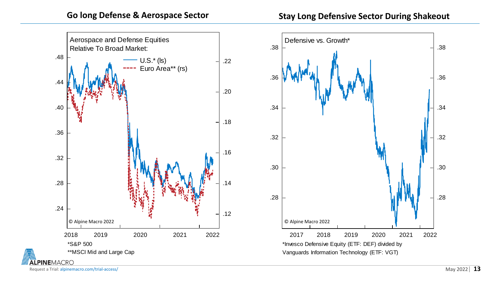![](_page_12_Figure_2.jpeg)

![](_page_12_Figure_3.jpeg)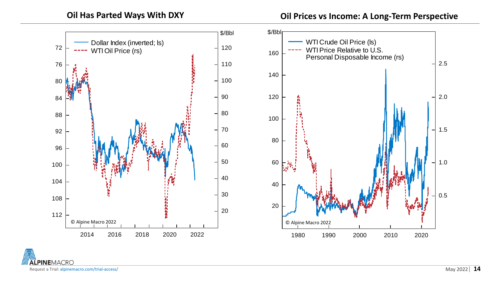**Oil Has Parted Ways With DXY Oil Prices vs Income: A Long-Term Perspective**

![](_page_13_Figure_2.jpeg)

**ALPINEMACRO** Request a Trial: alpinemacro.com/trial-access/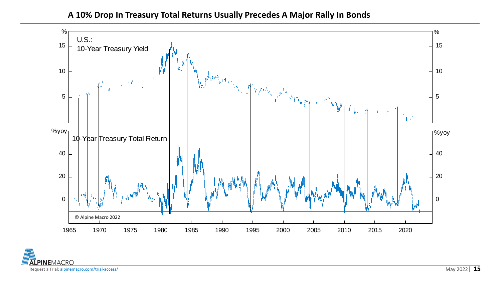### **A 10% Drop In Treasury Total Returns Usually Precedes A Major Rally In Bonds**

![](_page_14_Figure_1.jpeg)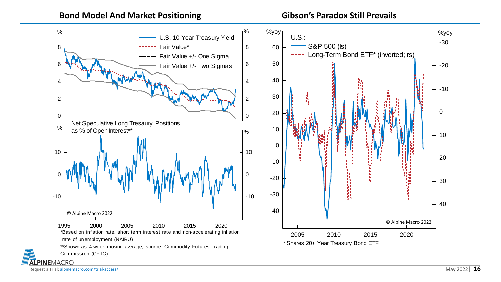![](_page_15_Figure_2.jpeg)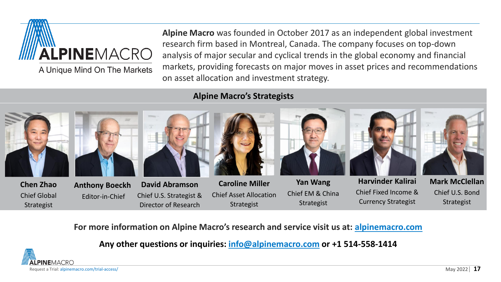![](_page_16_Picture_0.jpeg)

A Unique Mind On The Markets

**Alpine Macro** was founded in October 2017 as an independent global investment research firm based in Montreal, Canada. The company focuses on top-down analysis of major secular and cyclical trends in the global economy and financial markets, providing forecasts on major moves in asset prices and recommendations on asset allocation and investment strategy.

## **Alpine Macro's Strategists**

![](_page_16_Figure_4.jpeg)

**For more information on Alpine Macro's research and service visit us at: [alpinemacro.com](https://alpinemacro.com/)**

**Any other questions or inquiries: [info@alpinemacro.com](mailto:info@alpinemacro.com) or +1 514-558-1414**

![](_page_16_Picture_7.jpeg)